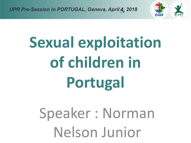**UPR Pre-Session in PORTUGAL, Geneva, April 4, 2018** 



# **Sexual exploitation of children in Portugal**

# Speaker : Norman Nelson Junior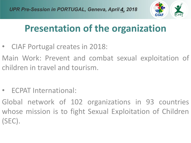

# **Presentation of the organization**

- CIAF Portugal creates in 2018:
- Main Work: Prevent and combat sexual exploitation of children in travel and tourism.
- ECPAT International:
- Global network of 102 organizations in 93 countries whose mission is to fight Sexual Exploitation of Children (SEC).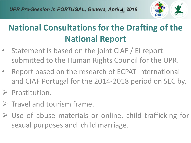

#### **National Consultations for the Drafting of the National Report**

- Statement is based on the joint CIAF / Ei report submitted to the Human Rights Council for the UPR.
- Report based on the research of ECPAT International and CIAF Portugal for the 2014-2018 period on SEC by.
- ➢ Prostitution.
- $\triangleright$  Travel and tourism frame.
- $\triangleright$  Use of abuse materials or online, child trafficking for sexual purposes and child marriage.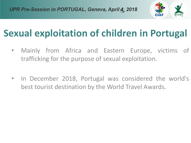

# **Sexual exploitation of children in Portugal**

- Mainly from Africa and Eastern Europe, victims of trafficking for the purpose of sexual exploitation.
- In December 2018, Portugal was considered the world's best tourist destination by the World Travel Awards.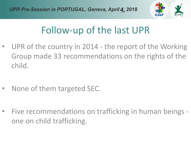

## Follow-up of the last UPR

UPR of the country in 2014 - the report of the Working Group made 33 recommendations on the rights of the child.

- None of them targeted SEC.
- Five recommendations on trafficking in human beings one on child trafficking.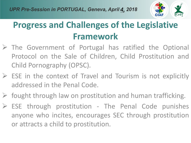

#### **Progress and Challenges of the Legislative Framework**

- ➢ The Government of Portugal has ratified the Optional Protocol on the Sale of Children, Child Prostitution and Child Pornography (OPSC).
- $\triangleright$  ESE in the context of Travel and Tourism is not explicitly addressed in the Penal Code.
- $\triangleright$  fought through law on prostitution and human trafficking.
- $\triangleright$  ESE through prostitution The Penal Code punishes anyone who incites, encourages SEC through prostitution or attracts a child to prostitution.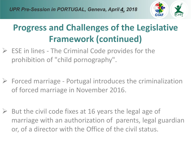

#### **Progress and Challenges of the Legislative Framework (continued)**

- $\triangleright$  ESE in lines The Criminal Code provides for the prohibition of "child pornography".
- $\triangleright$  Forced marriage Portugal introduces the criminalization of forced marriage in November 2016.
- $\triangleright$  But the civil code fixes at 16 years the legal age of marriage with an authorization of parents, legal guardian or, of a director with the Office of the civil status.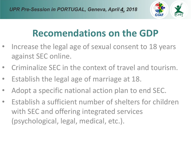

# **Recomendations on the GDP**

- Increase the legal age of sexual consent to 18 years against SEC online.
- Criminalize SEC in the context of travel and tourism.
- Establish the legal age of marriage at 18.
- Adopt a specific national action plan to end SEC.
- Establish a sufficient number of shelters for children with SEC and offering integrated services (psychological, legal, medical, etc.).